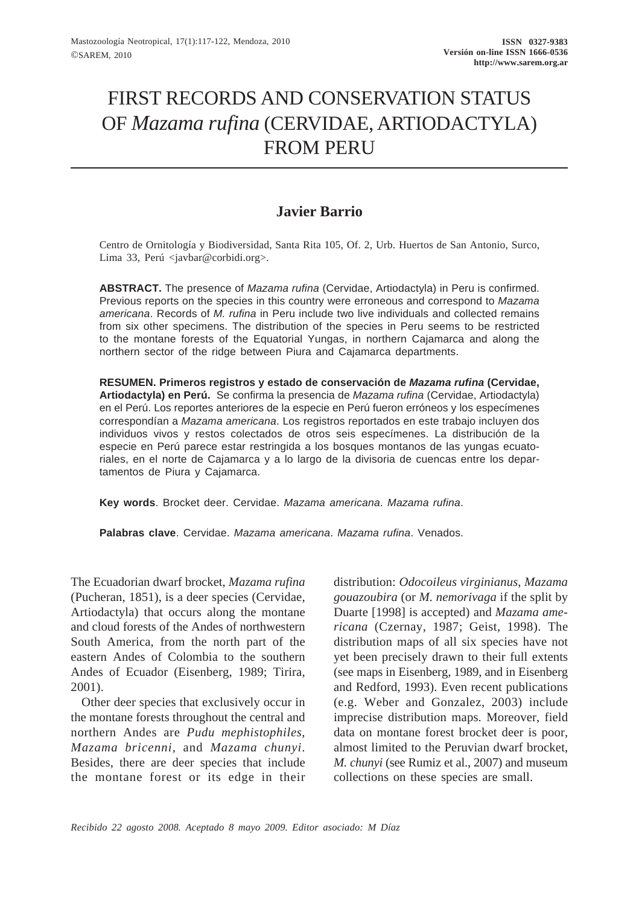# FIRST RECORDS AND CONSERVATION STATUS OF *Mazama rufina* (CERVIDAE, ARTIODACTYLA) FROM PERU

## **Javier Barrio**

Centro de Ornitología y Biodiversidad, Santa Rita 105, Of. 2, Urb. Huertos de San Antonio, Surco, Lima 33, Perú <javbar@corbidi.org>.

**ABSTRACT.** The presence of *Mazama rufina* (Cervidae, Artiodactyla) in Peru is confirmed. Previous reports on the species in this country were erroneous and correspond to *Mazama americana*. Records of *M. rufina* in Peru include two live individuals and collected remains from six other specimens. The distribution of the species in Peru seems to be restricted to the montane forests of the Equatorial Yungas, in northern Cajamarca and along the northern sector of the ridge between Piura and Cajamarca departments.

**RESUMEN. Primeros registros y estado de conservación de** *Mazama rufina* **(Cervidae, Artiodactyla) en Perú.** Se confirma la presencia de *Mazama rufina* (Cervidae, Artiodactyla) en el Perú. Los reportes anteriores de la especie en Perú fueron erróneos y los especímenes correspondían a *Mazama americana*. Los registros reportados en este trabajo incluyen dos individuos vivos y restos colectados de otros seis especímenes. La distribución de la especie en Perú parece estar restringida a los bosques montanos de las yungas ecuatoriales, en el norte de Cajamarca y a lo largo de la divisoria de cuencas entre los departamentos de Piura y Cajamarca.

**Key words**. Brocket deer. Cervidae. *Mazama americana*. *Mazama rufina*.

**Palabras clave**. Cervidae. *Mazama americana*. *Mazama rufina*. Venados.

The Ecuadorian dwarf brocket, *Mazama rufina* (Pucheran, 1851), is a deer species (Cervidae, Artiodactyla) that occurs along the montane and cloud forests of the Andes of northwestern South America, from the north part of the eastern Andes of Colombia to the southern Andes of Ecuador (Eisenberg, 1989; Tirira, 2001).

Other deer species that exclusively occur in the montane forests throughout the central and northern Andes are *Pudu mephistophiles*, *Mazama bricenni*, and *Mazama chunyi*. Besides, there are deer species that include the montane forest or its edge in their

distribution: *Odocoileus virginianus*, *Mazama gouazoubira* (or *M. nemorivaga* if the split by Duarte [1998] is accepted) and *Mazama americana* (Czernay, 1987; Geist, 1998). The distribution maps of all six species have not yet been precisely drawn to their full extents (see maps in Eisenberg, 1989, and in Eisenberg and Redford, 1993). Even recent publications (e.g. Weber and Gonzalez, 2003) include imprecise distribution maps. Moreover, field data on montane forest brocket deer is poor, almost limited to the Peruvian dwarf brocket, *M. chunyi* (see Rumiz et al., 2007) and museum collections on these species are small.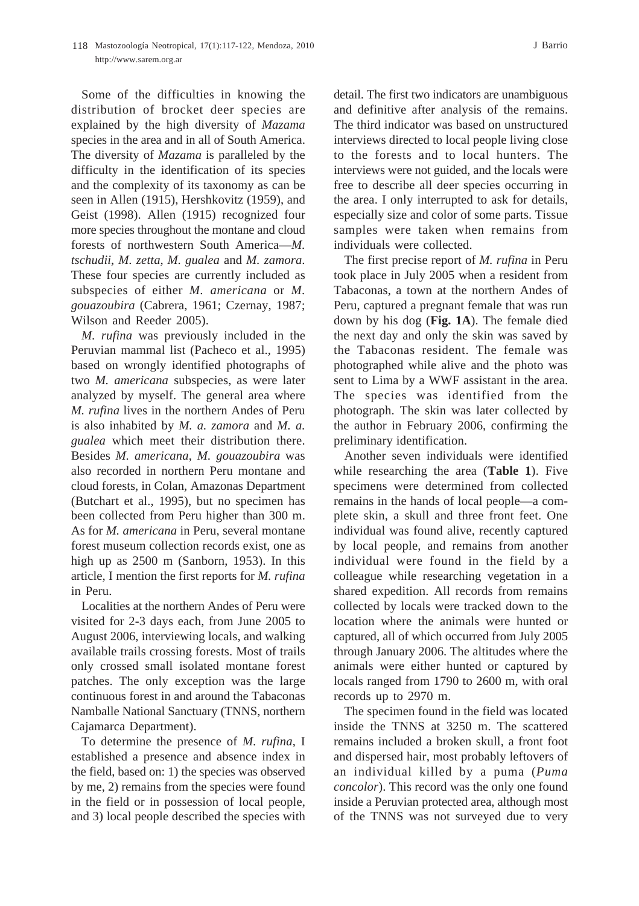#### 118 Mastozoología Neotropical, 17(1):117-122, Mendoza, 2010 J Barrio http://www.sarem.org.ar

Some of the difficulties in knowing the distribution of brocket deer species are explained by the high diversity of *Mazama* species in the area and in all of South America. The diversity of *Mazama* is paralleled by the difficulty in the identification of its species and the complexity of its taxonomy as can be seen in Allen (1915), Hershkovitz (1959), and Geist (1998). Allen (1915) recognized four more species throughout the montane and cloud forests of northwestern South America—*M. tschudii*, *M. zetta*, *M. gualea* and *M. zamora*. These four species are currently included as subspecies of either *M. americana* or *M. gouazoubira* (Cabrera, 1961; Czernay, 1987; Wilson and Reeder 2005).

*M. rufina* was previously included in the Peruvian mammal list (Pacheco et al., 1995) based on wrongly identified photographs of two *M. americana* subspecies, as were later analyzed by myself. The general area where *M. rufina* lives in the northern Andes of Peru is also inhabited by *M. a. zamora* and *M. a. gualea* which meet their distribution there. Besides *M. americana*, *M. gouazoubira* was also recorded in northern Peru montane and cloud forests, in Colan, Amazonas Department (Butchart et al., 1995), but no specimen has been collected from Peru higher than 300 m. As for *M. americana* in Peru, several montane forest museum collection records exist, one as high up as  $2500$  m (Sanborn, 1953). In this article, I mention the first reports for *M. rufina* in Peru.

Localities at the northern Andes of Peru were visited for 2-3 days each, from June 2005 to August 2006, interviewing locals, and walking available trails crossing forests. Most of trails only crossed small isolated montane forest patches. The only exception was the large continuous forest in and around the Tabaconas Namballe National Sanctuary (TNNS, northern Cajamarca Department).

To determine the presence of *M. rufina*, I established a presence and absence index in the field, based on: 1) the species was observed by me, 2) remains from the species were found in the field or in possession of local people, and 3) local people described the species with

detail. The first two indicators are unambiguous and definitive after analysis of the remains. The third indicator was based on unstructured interviews directed to local people living close to the forests and to local hunters. The interviews were not guided, and the locals were free to describe all deer species occurring in the area. I only interrupted to ask for details, especially size and color of some parts. Tissue samples were taken when remains from individuals were collected.

The first precise report of *M. rufina* in Peru took place in July 2005 when a resident from Tabaconas, a town at the northern Andes of Peru, captured a pregnant female that was run down by his dog (**Fig. 1A**). The female died the next day and only the skin was saved by the Tabaconas resident. The female was photographed while alive and the photo was sent to Lima by a WWF assistant in the area. The species was identified from the photograph. The skin was later collected by the author in February 2006, confirming the preliminary identification.

Another seven individuals were identified while researching the area (**Table 1**). Five specimens were determined from collected remains in the hands of local people—a complete skin, a skull and three front feet. One individual was found alive, recently captured by local people, and remains from another individual were found in the field by a colleague while researching vegetation in a shared expedition. All records from remains collected by locals were tracked down to the location where the animals were hunted or captured, all of which occurred from July 2005 through January 2006. The altitudes where the animals were either hunted or captured by locals ranged from 1790 to 2600 m, with oral records up to 2970 m.

The specimen found in the field was located inside the TNNS at 3250 m. The scattered remains included a broken skull, a front foot and dispersed hair, most probably leftovers of an individual killed by a puma (*Puma concolor*). This record was the only one found inside a Peruvian protected area, although most of the TNNS was not surveyed due to very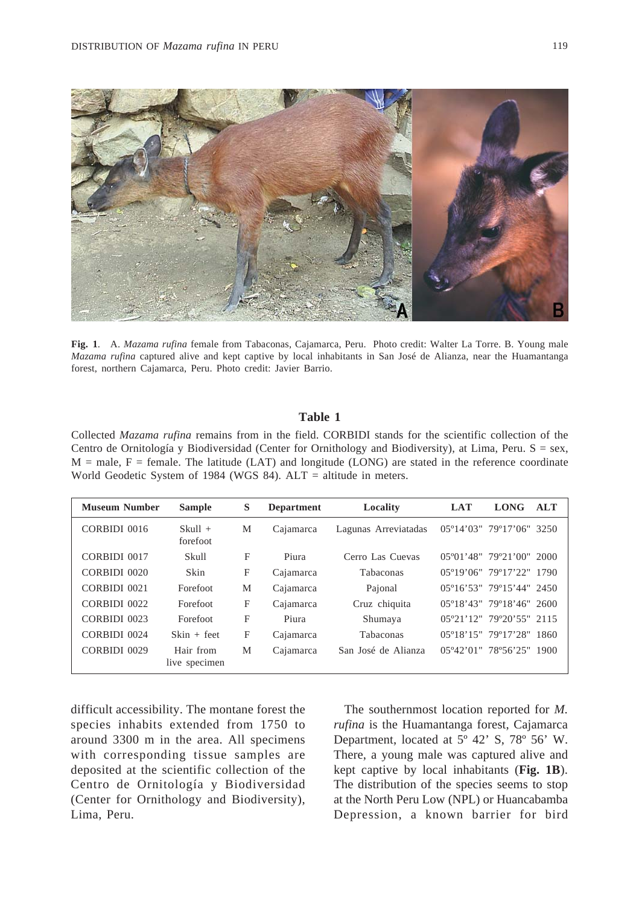

**Fig. 1**. A. *Mazama rufina* female from Tabaconas, Cajamarca, Peru. Photo credit: Walter La Torre. B. Young male *Mazama rufina* captured alive and kept captive by local inhabitants in San José de Alianza, near the Huamantanga forest, northern Cajamarca, Peru. Photo credit: Javier Barrio.

#### **Table 1**

Collected *Mazama rufina* remains from in the field. CORBIDI stands for the scientific collection of the Centro de Ornitología y Biodiversidad (Center for Ornithology and Biodiversity), at Lima, Peru. S = sex,  $M =$  male,  $F =$  female. The latitude (LAT) and longitude (LONG) are stated in the reference coordinate World Geodetic System of 1984 (WGS 84). ALT = altitude in meters.

| <b>Museum Number</b> | <b>Sample</b>              | S | <b>Department</b> | Locality             | <b>LAT</b> | <b>LONG</b>                                        | <b>ALT</b> |
|----------------------|----------------------------|---|-------------------|----------------------|------------|----------------------------------------------------|------------|
| CORBIDI 0016         | $Skull +$<br>forefoot      | M | Cajamarca         | Lagunas Arreviatadas |            | $0.5^{\circ}14'03''$ 79°17'06" 3250                |            |
| CORBIDI 0017         | Skull                      | F | Piura             | Cerro Las Cuevas     |            | $05^{\circ}01'48''$ 79°21'00" 2000                 |            |
| CORBIDI 0020         | Skin                       | F | Cajamarca         | Tabaconas            |            | 05°19'06" 79°17'22" 1790                           |            |
| CORBIDI 0021         | Forefoot                   | M | Cajamarca         | Pajonal              |            | 05°16'53" 79°15'44" 2450                           |            |
| CORBIDI 0022         | Forefoot                   | F | Cajamarca         | Cruz chiquita        |            | 05°18'43" 79°18'46" 2600                           |            |
| CORBIDI 0023         | Forefoot                   | F | Piura             | Shumaya              |            | 05°21'12" 79°20'55" 2115                           |            |
| CORBIDI 0024         | $Skin + feet$              | F | Cajamarca         | Tabaconas            |            | 05°18'15" 79°17'28" 1860                           |            |
| CORBIDI 0029         | Hair from<br>live specimen | M | Cajamarca         | San José de Alianza  |            | $05^{\circ}42^{\prime}01^{\prime\prime}$ 78°56'25" | 1900       |

difficult accessibility. The montane forest the species inhabits extended from 1750 to around 3300 m in the area. All specimens with corresponding tissue samples are deposited at the scientific collection of the Centro de Ornitología y Biodiversidad (Center for Ornithology and Biodiversity), Lima, Peru.

The southernmost location reported for *M. rufina* is the Huamantanga forest, Cajamarca Department, located at 5º 42' S, 78º 56' W. There, a young male was captured alive and kept captive by local inhabitants (**Fig. 1B**). The distribution of the species seems to stop at the North Peru Low (NPL) or Huancabamba Depression, a known barrier for bird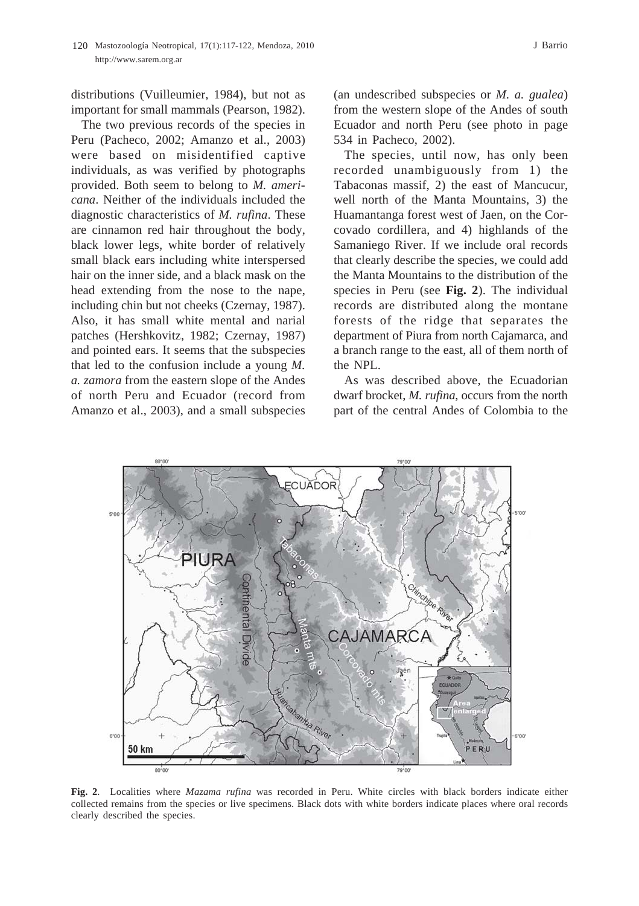distributions (Vuilleumier, 1984), but not as important for small mammals (Pearson, 1982).

The two previous records of the species in Peru (Pacheco, 2002; Amanzo et al., 2003) were based on misidentified captive individuals, as was verified by photographs provided. Both seem to belong to *M. americana*. Neither of the individuals included the diagnostic characteristics of *M. rufina*. These are cinnamon red hair throughout the body, black lower legs, white border of relatively small black ears including white interspersed hair on the inner side, and a black mask on the head extending from the nose to the nape, including chin but not cheeks (Czernay, 1987). Also, it has small white mental and narial patches (Hershkovitz, 1982; Czernay, 1987) and pointed ears. It seems that the subspecies that led to the confusion include a young *M. a. zamora* from the eastern slope of the Andes of north Peru and Ecuador (record from Amanzo et al., 2003), and a small subspecies

(an undescribed subspecies or *M. a. gualea*) from the western slope of the Andes of south Ecuador and north Peru (see photo in page 534 in Pacheco, 2002).

The species, until now, has only been recorded unambiguously from 1) the Tabaconas massif, 2) the east of Mancucur, well north of the Manta Mountains, 3) the Huamantanga forest west of Jaen, on the Corcovado cordillera, and 4) highlands of the Samaniego River. If we include oral records that clearly describe the species, we could add the Manta Mountains to the distribution of the species in Peru (see **Fig. 2**). The individual records are distributed along the montane forests of the ridge that separates the department of Piura from north Cajamarca, and a branch range to the east, all of them north of the NPL.

As was described above, the Ecuadorian dwarf brocket, *M. rufina*, occurs from the north part of the central Andes of Colombia to the



**Fig. 2**. Localities where *Mazama rufina* was recorded in Peru. White circles with black borders indicate either collected remains from the species or live specimens. Black dots with white borders indicate places where oral records clearly described the species.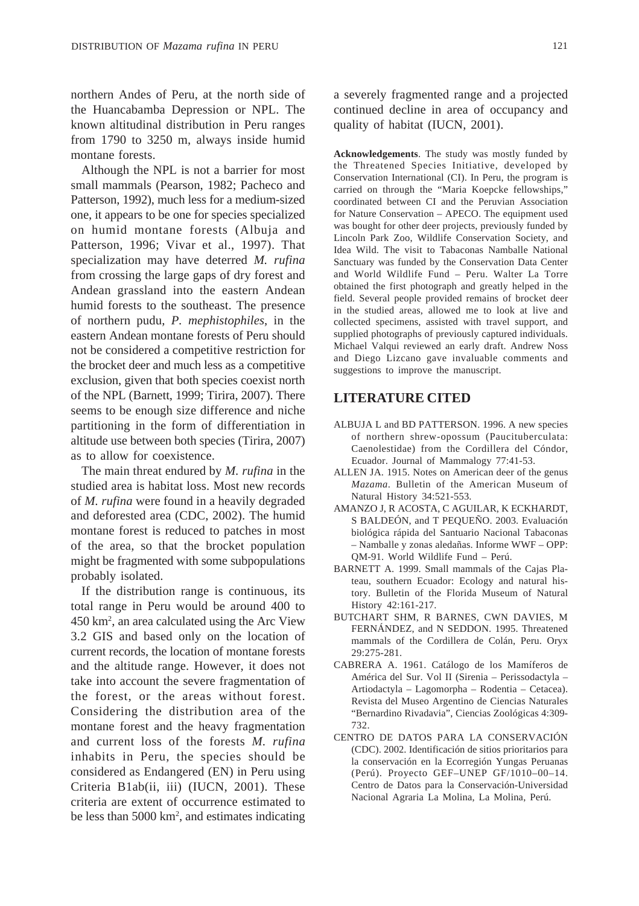northern Andes of Peru, at the north side of the Huancabamba Depression or NPL. The known altitudinal distribution in Peru ranges from 1790 to 3250 m, always inside humid montane forests.

Although the NPL is not a barrier for most small mammals (Pearson, 1982; Pacheco and Patterson, 1992), much less for a medium-sized one, it appears to be one for species specialized on humid montane forests (Albuja and Patterson, 1996; Vivar et al., 1997). That specialization may have deterred *M. rufina* from crossing the large gaps of dry forest and Andean grassland into the eastern Andean humid forests to the southeast. The presence of northern pudu, *P. mephistophiles*, in the eastern Andean montane forests of Peru should not be considered a competitive restriction for the brocket deer and much less as a competitive exclusion, given that both species coexist north of the NPL (Barnett, 1999; Tirira, 2007). There seems to be enough size difference and niche partitioning in the form of differentiation in altitude use between both species (Tirira, 2007) as to allow for coexistence.

The main threat endured by *M. rufina* in the studied area is habitat loss. Most new records of *M. rufina* were found in a heavily degraded and deforested area (CDC, 2002). The humid montane forest is reduced to patches in most of the area, so that the brocket population might be fragmented with some subpopulations probably isolated.

If the distribution range is continuous, its total range in Peru would be around 400 to 450 km2 , an area calculated using the Arc View 3.2 GIS and based only on the location of current records, the location of montane forests and the altitude range. However, it does not take into account the severe fragmentation of the forest, or the areas without forest. Considering the distribution area of the montane forest and the heavy fragmentation and current loss of the forests *M. rufina* inhabits in Peru, the species should be considered as Endangered (EN) in Peru using Criteria B1ab(ii, iii) (IUCN, 2001). These criteria are extent of occurrence estimated to be less than 5000 km2 , and estimates indicating

a severely fragmented range and a projected continued decline in area of occupancy and quality of habitat (IUCN, 2001).

**Acknowledgements**. The study was mostly funded by the Threatened Species Initiative, developed by Conservation International (CI). In Peru, the program is carried on through the "Maria Koepcke fellowships," coordinated between CI and the Peruvian Association for Nature Conservation – APECO. The equipment used was bought for other deer projects, previously funded by Lincoln Park Zoo, Wildlife Conservation Society, and Idea Wild. The visit to Tabaconas Namballe National Sanctuary was funded by the Conservation Data Center and World Wildlife Fund – Peru. Walter La Torre obtained the first photograph and greatly helped in the field. Several people provided remains of brocket deer in the studied areas, allowed me to look at live and collected specimens, assisted with travel support, and supplied photographs of previously captured individuals. Michael Valqui reviewed an early draft. Andrew Noss and Diego Lizcano gave invaluable comments and suggestions to improve the manuscript.

### **LITERATURE CITED**

- ALBUJA L and BD PATTERSON. 1996. A new species of northern shrew-opossum (Paucituberculata: Caenolestidae) from the Cordillera del Cóndor, Ecuador. Journal of Mammalogy 77:41-53.
- ALLEN JA. 1915. Notes on American deer of the genus *Mazama*. Bulletin of the American Museum of Natural History 34:521-553.
- AMANZO J, R ACOSTA, C AGUILAR, K ECKHARDT, S BALDEÓN, and T PEQUEÑO. 2003. Evaluación biológica rápida del Santuario Nacional Tabaconas – Namballe y zonas aledañas. Informe WWF – OPP: QM-91. World Wildlife Fund – Perú.
- BARNETT A. 1999. Small mammals of the Cajas Plateau, southern Ecuador: Ecology and natural history. Bulletin of the Florida Museum of Natural History 42:161-217.
- BUTCHART SHM, R BARNES, CWN DAVIES, M FERNÁNDEZ, and N SEDDON. 1995. Threatened mammals of the Cordillera de Colán, Peru. Oryx 29:275-281.
- CABRERA A. 1961. Catálogo de los Mamíferos de América del Sur. Vol II (Sirenia – Perissodactyla – Artiodactyla – Lagomorpha – Rodentia – Cetacea). Revista del Museo Argentino de Ciencias Naturales "Bernardino Rivadavia", Ciencias Zoológicas 4:309- 732.
- CENTRO DE DATOS PARA LA CONSERVACIÓN (CDC). 2002. Identificación de sitios prioritarios para la conservación en la Ecorregión Yungas Peruanas (Perú). Proyecto GEF–UNEP GF/1010–00–14. Centro de Datos para la Conservación-Universidad Nacional Agraria La Molina, La Molina, Perú.